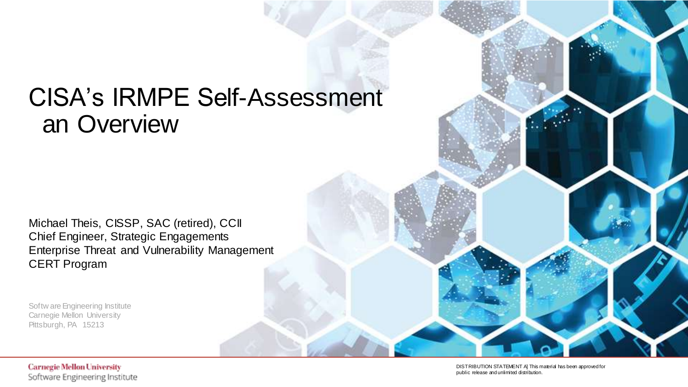# CISA's IRMPE Self-Assessment an Overview

Michael Theis, CISSP, SAC (retired), CCII Chief Engineer, Strategic Engagements Enterprise Threat and Vulnerability Management CERT Program

Softw are Engineering Institute Carnegie Mellon University Pittsburgh, PA 15213

#### **Carnegie Mellon University** Software Engineering Institute

**DISTRIBUTION STATEMENT A] This material has been approved for** public release and unlimited distribution.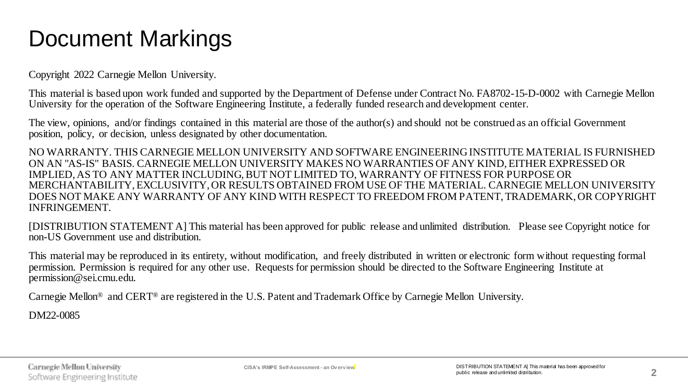# Document Markings

Copyright 2022 Carnegie Mellon University.

This material is based upon work funded and supported by the Department of Defense under Contract No. FA8702-15-D-0002 with Carnegie Mellon University for the operation of the Software Engineering Institute, a federally funded research and development center.

The view, opinions, and/or findings contained in this material are those of the author(s) and should not be construed as an official Government position, policy, or decision, unless designated by other documentation.

NO WARRANTY. THIS CARNEGIE MELLON UNIVERSITY AND SOFTWARE ENGINEERING INSTITUTE MATERIAL IS FURNISHED ON AN "AS-IS" BASIS. CARNEGIE MELLON UNIVERSITY MAKES NO WARRANTIES OF ANY KIND, EITHER EXPRESSED OR IMPLIED, AS TO ANY MATTER INCLUDING, BUT NOT LIMITED TO, WARRANTY OF FITNESS FOR PURPOSE OR MERCHANTABILITY, EXCLUSIVITY, OR RESULTS OBTAINED FROM USE OF THE MATERIAL. CARNEGIE MELLON UNIVERSITY DOES NOT MAKE ANY WARRANTY OF ANY KIND WITH RESPECT TO FREEDOM FROM PATENT, TRADEMARK, OR COPYRIGHT INFRINGEMENT.

[DISTRIBUTION STATEMENT A] This material has been approved for public release and unlimited distribution. Please see Copyright notice for non-US Government use and distribution.

This material may be reproduced in its entirety, without modification, and freely distributed in written or electronic form without requesting formal permission. Permission is required for any other use. Requests for permission should be directed to the Software Engineering Institute at permission@sei.cmu.edu.

Carnegie Mellon® and CERT® are registered in the U.S. Patent and Trademark Office by Carnegie Mellon University.

DM22-0085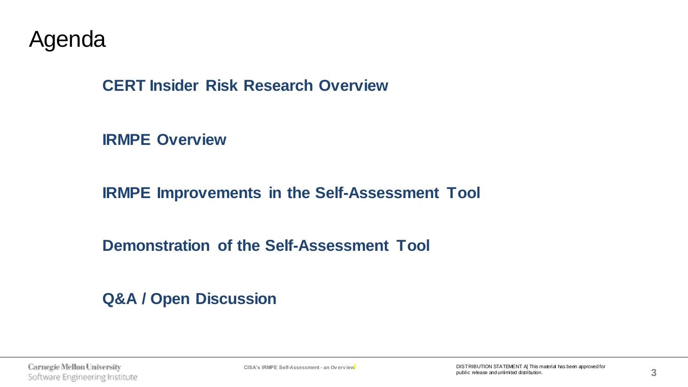Agenda

**CERT Insider Risk Research Overview**

**IRMPE Overview**

**IRMPE Improvements in the Self-Assessment Tool**

**Demonstration of the Self-Assessment Tool**

**Q&A / Open Discussion**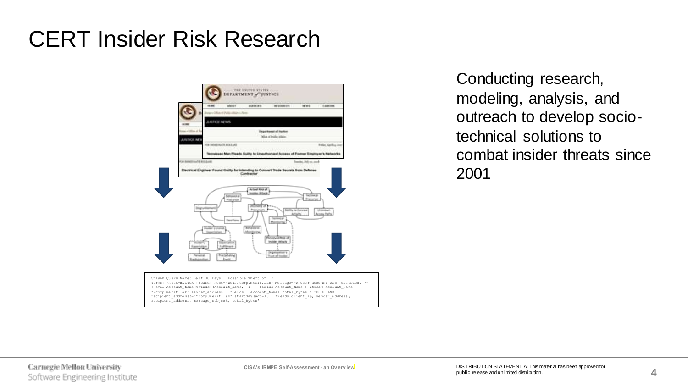#### CERT Insider Risk Research



Conducting research, modeling, analysis, and outreach to develop sociotechnical solutions to combat insider threats since 2001

Splunk Qu ery Na me: La st 30 Days - Possi ble Th eft of IP Terms: 'h ost=HE CTOR [ search host= "zeus. corp.m erit.l ab" Me ssage= "A use r acco unt wa s dis abled. \*" | eval Ac count\_ Name=m vindex (Accou nt\_Nam e, -1) | fie lds Ac count\_ Name | strca t Acco unt\_Na me "@corp.me rit.la b" sen der\_ad dress | fiel ds - A ccount \_Name] total \_bytes > 500 00 AND recipient \_addre ss!="\* corp.m erit.l ab" st artday sago=3 0 | fi elds c lient\_ ip, se nder\_a ddress , recipient \_addre ss, me ssage\_ subjec t, tot al\_byt es'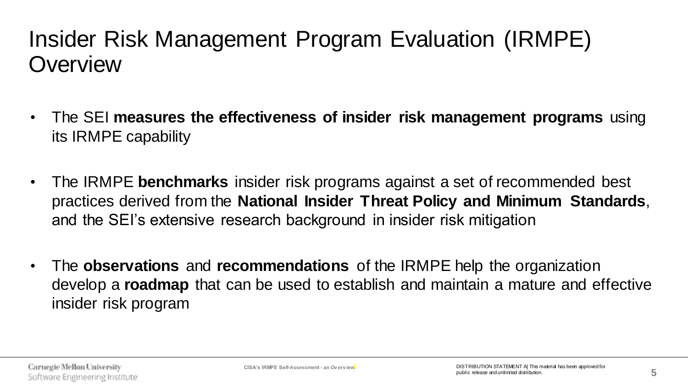## Insider Risk Management Program Evaluation (IRMPE) **Overview**

- The SEI **measures the effectiveness of insider risk management programs** using its IRMPE capability
- The IRMPE **benchmarks** insider risk programs against a set of recommended best practices derived from the **National Insider Threat Policy and Minimum Standards**, and the SEI's extensive research background in insider risk mitigation
- The **observations** and **recommendations** of the IRMPE help the organization develop a **roadmap** that can be used to establish and maintain a mature and effective insider risk program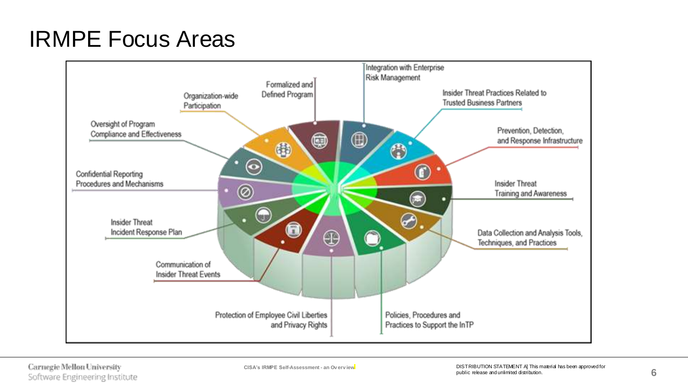## IRMPE Focus Areas

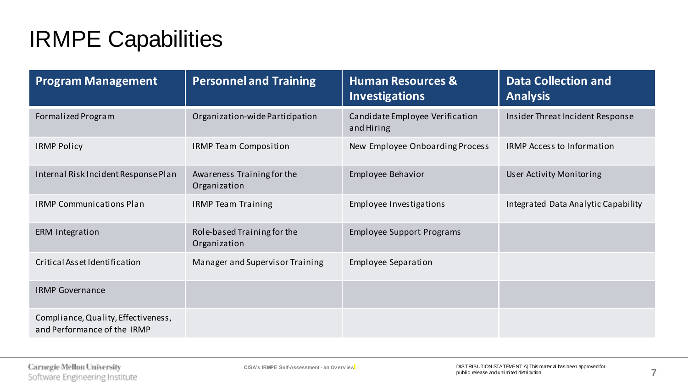# IRMPE Capabilities

| <b>Program Management</b>                                          | <b>Personnel and Training</b>               | <b>Human Resources &amp;</b><br><b>Investigations</b> | <b>Data Collection and</b><br><b>Analysis</b> |
|--------------------------------------------------------------------|---------------------------------------------|-------------------------------------------------------|-----------------------------------------------|
| Formalized Program                                                 | Organization-wide Participation             | Candidate Employee Verification<br>and Hiring         | Insider Threat Incident Response              |
| <b>IRMP Policy</b>                                                 | <b>IRMP Team Composition</b>                | New Employee Onboarding Process                       | <b>IRMP Access to Information</b>             |
| Internal Risk Incident Response Plan                               | Awareness Training for the<br>Organization  | Employee Behavior                                     | User Activity Monitoring                      |
| <b>IRMP Communications Plan</b>                                    | <b>IRMP Team Training</b>                   | Employee Investigations                               | Integrated Data Analytic Capability           |
| ERM Integration                                                    | Role-based Training for the<br>Organization | <b>Employee Support Programs</b>                      |                                               |
| Critical Asset Identification                                      | Manager and Supervisor Training             | <b>Employee Separation</b>                            |                                               |
| <b>IRMP Governance</b>                                             |                                             |                                                       |                                               |
| Compliance, Quality, Effectiveness,<br>and Performance of the IRMP |                                             |                                                       |                                               |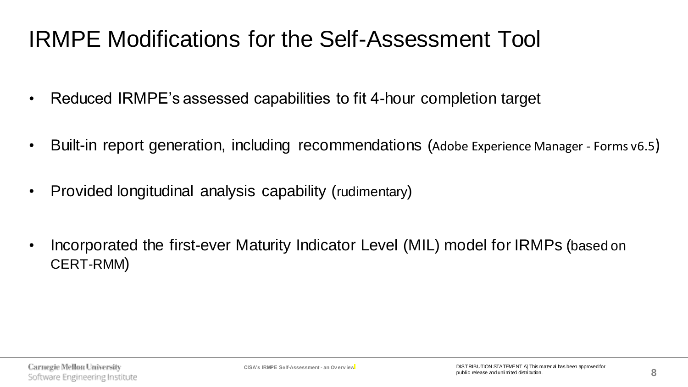## IRMPE Modifications for the Self-Assessment Tool

- Reduced IRMPE's assessed capabilities to fit 4-hour completion target
- Built-in report generation, including recommendations (Adobe Experience Manager Forms v6.5)
- Provided longitudinal analysis capability (rudimentary)
- Incorporated the first-ever Maturity Indicator Level (MIL) model for IRMPs (based on CERT-RMM)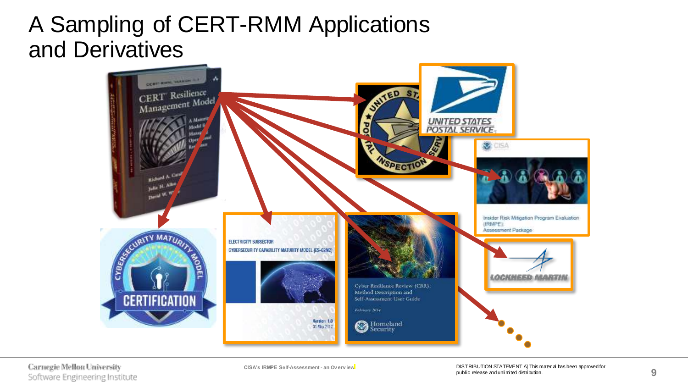#### A Sampling of CERT-RMM Applications and Derivatives

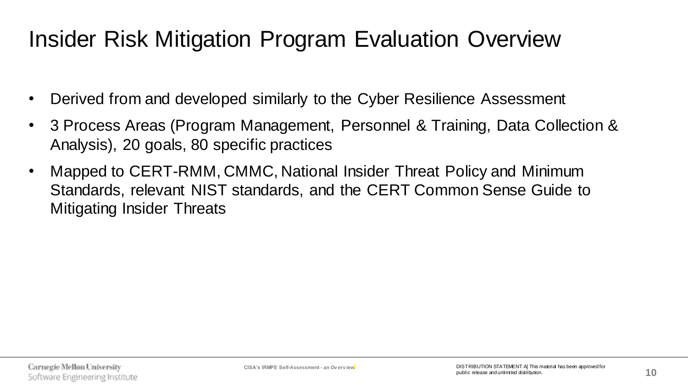## Insider Risk Mitigation Program Evaluation Overview

- Derived from and developed similarly to the Cyber Resilience Assessment
- 3 Process Areas (Program Management, Personnel & Training, Data Collection & Analysis), 20 goals, 80 specific practices
- Mapped to CERT-RMM, CMMC, National Insider Threat Policy and Minimum Standards, relevant NIST standards, and the CERT Common Sense Guide to Mitigating Insider Threats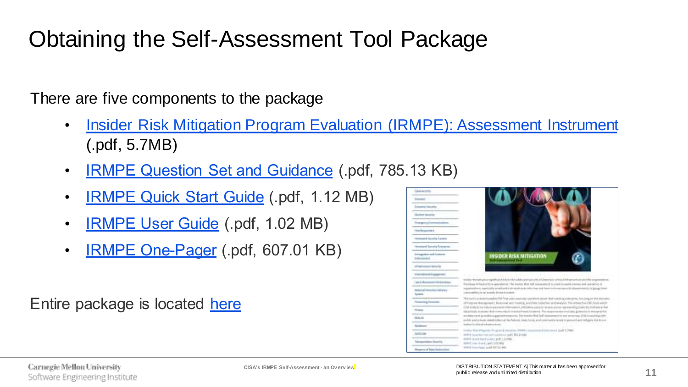# Obtaining the Self-Assessment Tool Package

There are five components to the package

- [Insider Risk Mitigation Program Evaluation \(IRMPE\): Assessment Instrument](https://www.cisa.gov/sites/default/files/publications/IRMPE_Assessment_v1_2021-10-12.pdf) (.pdf, 5.7MB)
- [IRMPE Question Set and Guidance](https://www.cisa.gov/sites/default/files/publications/IRMPE Question Set and Guidance-v1_508.pdf) (.pdf, 785.13 KB)
- [IRMPE Quick Start Guide](https://www.cisa.gov/sites/default/files/publications/IRMPE Quick Start Guide -v1_508_0.pdf) (.pdf, 1.12 MB)
- [IRMPE User Guide](https://www.cisa.gov/sites/default/files/publications/IRMPE User Guide -v1_508_0.pdf) (.pdf, 1.02 MB)
- **[IRMPE One-Pager](https://www.cisa.gov/sites/default/files/publications/IR Mitigation Program Evaluation Tool_OnePager.pdf)** (.pdf, 607.01 KB)

Entire package is located [here](https://www.cisa.gov/publication/insider-risk-self-assessment-tool)

| <b>Glassmann</b>                                |                                                                                                                                                                                                                                                                         |
|-------------------------------------------------|-------------------------------------------------------------------------------------------------------------------------------------------------------------------------------------------------------------------------------------------------------------------------|
| <b><i><u>Standard Institute</u></i></b>         |                                                                                                                                                                                                                                                                         |
| Extensive Secretary                             |                                                                                                                                                                                                                                                                         |
| <b>Hardon Israelic</b>                          |                                                                                                                                                                                                                                                                         |
| Transporta Communications                       |                                                                                                                                                                                                                                                                         |
| <b>Filip Bournald 4</b>                         |                                                                                                                                                                                                                                                                         |
| <b>England Genetic Careers</b>                  |                                                                                                                                                                                                                                                                         |
| Homestered Secondary American Co.               |                                                                                                                                                                                                                                                                         |
| torogethe and Lutters<br><b>Schoolward</b>      | INSIDER RISK MITHIATION                                                                                                                                                                                                                                                 |
| anticaptious back tast selling                  |                                                                                                                                                                                                                                                                         |
| charactered framework                           |                                                                                                                                                                                                                                                                         |
| Law Ashmanam Parkenting                         | In altitate We make a treaty significant state in this tackets airprivates office all business or contrast. Disponentes and that in guarantees at<br>third boxes while a streety constituted. The treater that but we reached to provide you'd convey and converting on |
| resistant Hertschel-Adviser (*<br><b>Submer</b> | In presuments, supercriting setuate and in this send to be releasing to the frontier move by departments, in properties<br>postman and forty for two investment forwards for contact for                                                                                |
| <b>Presenting Terminals</b>                     | The tool is a classical addition? BY Their artist counts key constitute glound 19 of visiting a ship and up the changing and the changing<br>of Progress Management, Reservant and Freming, and Bata Collection and Metropic The Interactive PBC from edium             |
| Friend                                          | OTA tratterizms italia in passival information, will alany users to realize premier permitted run to be horizon index<br>Hidden Harborn Hall (1996) The Harborn Harborn The Asset (1996) (The Asset of the Asset of Assets and Assets at Monarch For                    |
| <b>MALLS</b>                                    | psychological and providence-general presences. The trainer Bold had Automotive for some street long. THA is purchase coffi-<br>public and in looks statuth rillays at the fiatural, statu fields and connectivity with in powerful entity higher told to our           |
| Southernes                                      | hominately exhibited to be a monocheani-                                                                                                                                                                                                                                |
| <b>SAFETY THE</b>                               | the Rob Ellipton's Fragment Contention (FMRS) is assumed from annual Light 1, 748).<br>1891 EST Thai in continue to a continue in the                                                                                                                                   |
| Therapertaker Security                          | 2001年30月14日 Global Landt LLD 940<br>SHIP CENT Links and Team Trans                                                                                                                                                                                                      |
| Browns of him Instruction                       | STREET FLORI Flores Lands \$277.00 MHz                                                                                                                                                                                                                                  |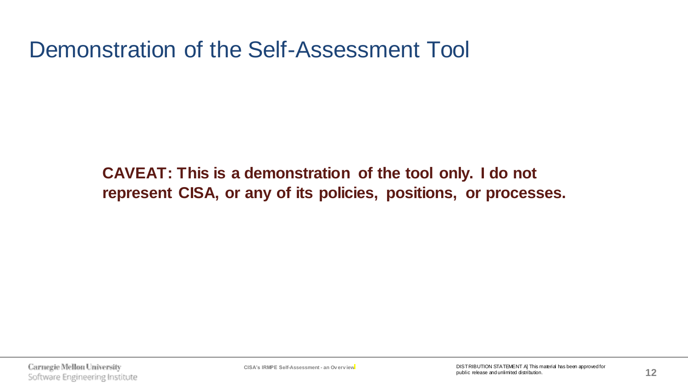Demonstration of the Self-Assessment Tool

**CAVEAT: This is a demonstration of the tool only. I do not represent CISA, or any of its policies, positions, or processes.**